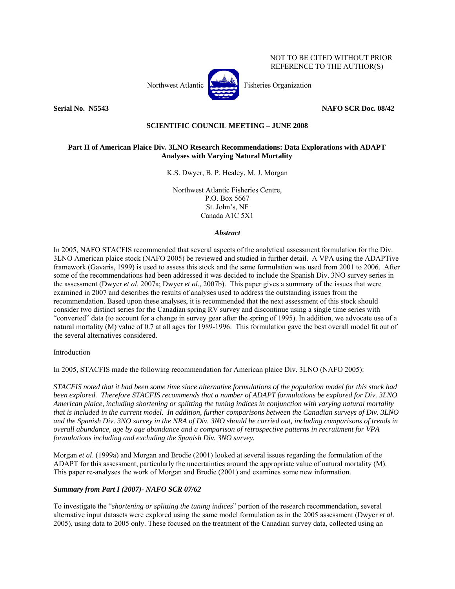NOT TO BE CITED WITHOUT PRIOR REFERENCE TO THE AUTHOR(S)



**Serial No. 35543** NAFO SCR Doc. 08/42

## **SCIENTIFIC COUNCIL MEETING – JUNE 2008**

## **Part II of American Plaice Div. 3LNO Research Recommendations: Data Explorations with ADAPT Analyses with Varying Natural Mortality**

K.S. Dwyer, B. P. Healey, M. J. Morgan

Northwest Atlantic Fisheries Centre, P.O. Box 5667 St. John's, NF Canada A1C 5X1

#### *Abstract*

In 2005, NAFO STACFIS recommended that several aspects of the analytical assessment formulation for the Div. 3LNO American plaice stock (NAFO 2005) be reviewed and studied in further detail. A VPA using the ADAPTive framework (Gavaris, 1999) is used to assess this stock and the same formulation was used from 2001 to 2006. After some of the recommendations had been addressed it was decided to include the Spanish Div. 3NO survey series in the assessment (Dwyer *et al*. 2007a; Dwyer *et al*., 2007b). This paper gives a summary of the issues that were examined in 2007 and describes the results of analyses used to address the outstanding issues from the recommendation. Based upon these analyses, it is recommended that the next assessment of this stock should consider two distinct series for the Canadian spring RV survey and discontinue using a single time series with "converted" data (to account for a change in survey gear after the spring of 1995). In addition, we advocate use of a natural mortality (M) value of 0.7 at all ages for 1989-1996. This formulation gave the best overall model fit out of the several alternatives considered.

## Introduction

In 2005, STACFIS made the following recommendation for American plaice Div. 3LNO (NAFO 2005):

*STACFIS noted that it had been some time since alternative formulations of the population model for this stock had been explored. Therefore STACFIS recommends that a number of ADAPT formulations be explored for Div. 3LNO American plaice, including shortening or splitting the tuning indices in conjunction with varying natural mortality that is included in the current model. In addition, further comparisons between the Canadian surveys of Div. 3LNO and the Spanish Div. 3NO survey in the NRA of Div. 3NO should be carried out, including comparisons of trends in overall abundance, age by age abundance and a comparison of retrospective patterns in recruitment for VPA formulations including and excluding the Spanish Div. 3NO survey.* 

Morgan *et al*. (1999a) and Morgan and Brodie (2001) looked at several issues regarding the formulation of the ADAPT for this assessment, particularly the uncertainties around the appropriate value of natural mortality (M). This paper re-analyses the work of Morgan and Brodie (2001) and examines some new information.

## *Summary from Part I (2007)- NAFO SCR 07/62*

To investigate the "*shortening or splitting the tuning indices*" portion of the research recommendation, several alternative input datasets were explored using the same model formulation as in the 2005 assessment (Dwyer *et al*. 2005), using data to 2005 only. These focused on the treatment of the Canadian survey data, collected using an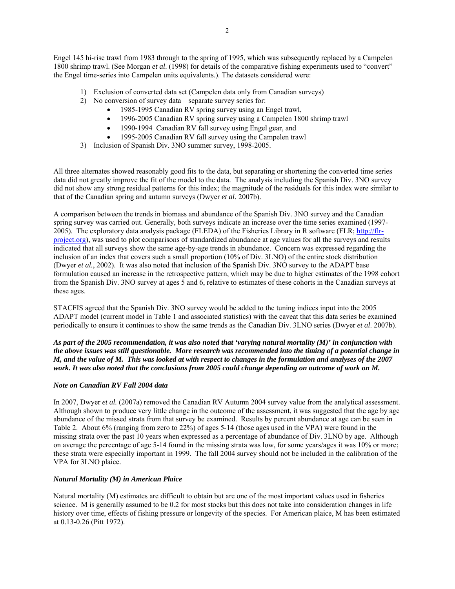Engel 145 hi-rise trawl from 1983 through to the spring of 1995, which was subsequently replaced by a Campelen 1800 shrimp trawl. (See Morgan *et al*. (1998) for details of the comparative fishing experiments used to "convert" the Engel time-series into Campelen units equivalents.). The datasets considered were:

- 1) Exclusion of converted data set (Campelen data only from Canadian surveys)
- 2) No conversion of survey data separate survey series for:
	- 1985-1995 Canadian RV spring survey using an Engel trawl,
	- 1996-2005 Canadian RV spring survey using a Campelen 1800 shrimp trawl
	- 1990-1994 Canadian RV fall survey using Engel gear, and
	- 1995-2005 Canadian RV fall survey using the Campelen trawl
- 3) Inclusion of Spanish Div. 3NO summer survey, 1998-2005.

All three alternates showed reasonably good fits to the data, but separating or shortening the converted time series data did not greatly improve the fit of the model to the data. The analysis including the Spanish Div. 3NO survey did not show any strong residual patterns for this index; the magnitude of the residuals for this index were similar to that of the Canadian spring and autumn surveys (Dwyer *et al.* 2007b).

A comparison between the trends in biomass and abundance of the Spanish Div. 3NO survey and the Canadian spring survey was carried out. Generally, both surveys indicate an increase over the time series examined (1997- 2005). The exploratory data analysis package (FLEDA) of the Fisheries Library in R software (FLR; http://flrproject.org), was used to plot comparisons of standardized abundance at age values for all the surveys and results indicated that all surveys show the same age-by-age trends in abundance. Concern was expressed regarding the inclusion of an index that covers such a small proportion (10% of Div. 3LNO) of the entire stock distribution (Dwyer *et al.*, 2002). It was also noted that inclusion of the Spanish Div. 3NO survey to the ADAPT base formulation caused an increase in the retrospective pattern, which may be due to higher estimates of the 1998 cohort from the Spanish Div. 3NO survey at ages 5 and 6, relative to estimates of these cohorts in the Canadian surveys at these ages.

STACFIS agreed that the Spanish Div. 3NO survey would be added to the tuning indices input into the 2005 ADAPT model (current model in Table 1 and associated statistics) with the caveat that this data series be examined periodically to ensure it continues to show the same trends as the Canadian Div. 3LNO series (Dwyer *et al*. 2007b).

*As part of the 2005 recommendation, it was also noted that 'varying natural mortality (M)' in conjunction with the above issues was still questionable. More research was recommended into the timing of a potential change in M, and the value of M. This was looked at with respect to changes in the formulation and analyses of the 2007 work. It was also noted that the conclusions from 2005 could change depending on outcome of work on M.* 

# *Note on Canadian RV Fall 2004 data*

In 2007, Dwyer *et al.* (2007a) removed the Canadian RV Autumn 2004 survey value from the analytical assessment. Although shown to produce very little change in the outcome of the assessment, it was suggested that the age by age abundance of the missed strata from that survey be examined. Results by percent abundance at age can be seen in Table 2. About 6% (ranging from zero to 22%) of ages 5-14 (those ages used in the VPA) were found in the missing strata over the past 10 years when expressed as a percentage of abundance of Div. 3LNO by age. Although on average the percentage of age 5-14 found in the missing strata was low, for some years/ages it was 10% or more; these strata were especially important in 1999. The fall 2004 survey should not be included in the calibration of the VPA for 3LNO plaice.

# *Natural Mortality (M) in American Plaice*

Natural mortality (M) estimates are difficult to obtain but are one of the most important values used in fisheries science. M is generally assumed to be 0.2 for most stocks but this does not take into consideration changes in life history over time, effects of fishing pressure or longevity of the species. For American plaice, M has been estimated at 0.13-0.26 (Pitt 1972).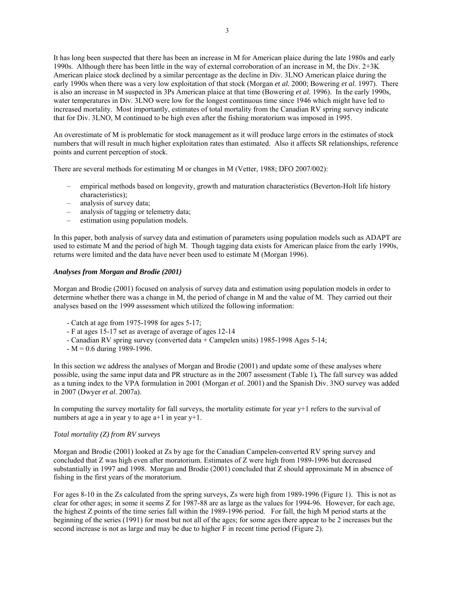It has long been suspected that there has been an increase in M for American plaice during the late 1980s and early 1990s. Although there has been little in the way of external corroboration of an increase in M, the Div. 2+3K American plaice stock declined by a similar percentage as the decline in Div. 3LNO American plaice during the early 1990s when there was a very low exploitation of that stock (Morgan *et al.* 2000; Bowering *et al*. 1997). There is also an increase in M suspected in 3Ps American plaice at that time (Bowering *et al.* 1996). In the early 1990s, water temperatures in Div. 3LNO were low for the longest continuous time since 1946 which might have led to increased mortality. Most importantly, estimates of total mortality from the Canadian RV spring survey indicate that for Div. 3LNO, M continued to be high even after the fishing moratorium was imposed in 1995.

An overestimate of M is problematic for stock management as it will produce large errors in the estimates of stock numbers that will result in much higher exploitation rates than estimated. Also it affects SR relationships, reference points and current perception of stock.

There are several methods for estimating M or changes in M (Vetter, 1988; DFO 2007/002):

- empirical methods based on longevity, growth and maturation characteristics (Beverton-Holt life history characteristics);
- analysis of survey data;
- analysis of tagging or telemetry data;
- estimation using population models.

In this paper, both analysis of survey data and estimation of parameters using population models such as ADAPT are used to estimate M and the period of high M. Though tagging data exists for American plaice from the early 1990s, returns were limited and the data have never been used to estimate M (Morgan 1996).

#### *Analyses from Morgan and Brodie (2001)*

Morgan and Brodie (2001) focused on analysis of survey data and estimation using population models in order to determine whether there was a change in M, the period of change in M and the value of M. They carried out their analyses based on the 1999 assessment which utilized the following information:

- Catch at age from 1975-1998 for ages 5-17;
- F at ages 15-17 set as average of average of ages 12-14
- Canadian RV spring survey (converted data + Campelen units) 1985-1998 Ages 5-14;
- $-M = 0.6$  during 1989-1996.

In this section we address the analyses of Morgan and Brodie (2001) and update some of these analyses where possible, using the same input data and PR structure as in the 2007 assessment (Table 1)*.* The fall survey was added as a tuning index to the VPA formulation in 2001 (Morgan *et al*. 2001) and the Spanish Div. 3NO survey was added in 2007 (Dwyer *et al*. 2007a).

In computing the survey mortality for fall surveys, the mortality estimate for year y+1 refers to the survival of numbers at age a in year y to age a+1 in year y+1.

## *Total mortality (Z) from RV surveys*

Morgan and Brodie (2001) looked at Zs by age for the Canadian Campelen-converted RV spring survey and concluded that Z was high even after moratorium. Estimates of Z were high from 1989-1996 but decreased substantially in 1997 and 1998. Morgan and Brodie (2001) concluded that Z should approximate M in absence of fishing in the first years of the moratorium.

For ages 8-10 in the Zs calculated from the spring surveys, Zs were high from 1989-1996 (Figure 1). This is not as clear for other ages; in some it seems Z for 1987-88 are as large as the values for 1994-96. However, for each age, the highest Z points of the time series fall within the 1989-1996 period. For fall, the high M period starts at the beginning of the series (1991) for most but not all of the ages; for some ages there appear to be 2 increases but the second increase is not as large and may be due to higher F in recent time period (Figure 2).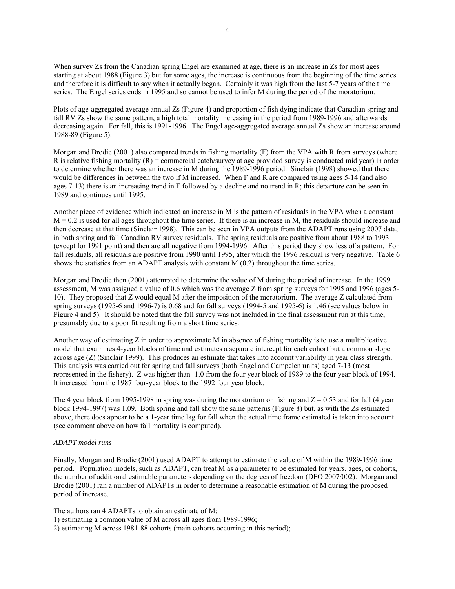When survey Zs from the Canadian spring Engel are examined at age, there is an increase in Zs for most ages starting at about 1988 (Figure 3) but for some ages, the increase is continuous from the beginning of the time series and therefore it is difficult to say when it actually began. Certainly it was high from the last 5-7 years of the time series. The Engel series ends in 1995 and so cannot be used to infer M during the period of the moratorium.

Plots of age-aggregated average annual Zs (Figure 4) and proportion of fish dying indicate that Canadian spring and fall RV Zs show the same pattern, a high total mortality increasing in the period from 1989-1996 and afterwards decreasing again. For fall, this is 1991-1996. The Engel age-aggregated average annual Zs show an increase around 1988-89 (Figure 5).

Morgan and Brodie (2001) also compared trends in fishing mortality (F) from the VPA with R from surveys (where R is relative fishing mortality  $(R)$  = commercial catch/survey at age provided survey is conducted mid year) in order to determine whether there was an increase in M during the 1989-1996 period. Sinclair (1998) showed that there would be differences in between the two if M increased. When F and R are compared using ages 5-14 (and also ages 7-13) there is an increasing trend in F followed by a decline and no trend in R; this departure can be seen in 1989 and continues until 1995.

Another piece of evidence which indicated an increase in M is the pattern of residuals in the VPA when a constant  $M = 0.2$  is used for all ages throughout the time series. If there is an increase in M, the residuals should increase and then decrease at that time (Sinclair 1998). This can be seen in VPA outputs from the ADAPT runs using 2007 data, in both spring and fall Canadian RV survey residuals. The spring residuals are positive from about 1988 to 1993 (except for 1991 point) and then are all negative from 1994-1996. After this period they show less of a pattern. For fall residuals, all residuals are positive from 1990 until 1995, after which the 1996 residual is very negative. Table 6 shows the statistics from an ADAPT analysis with constant M (0.2) throughout the time series.

Morgan and Brodie then (2001) attempted to determine the value of M during the period of increase. In the 1999 assessment, M was assigned a value of 0.6 which was the average Z from spring surveys for 1995 and 1996 (ages 5- 10). They proposed that Z would equal M after the imposition of the moratorium. The average Z calculated from spring surveys (1995-6 and 1996-7) is 0.68 and for fall surveys (1994-5 and 1995-6) is 1.46 (see values below in Figure 4 and 5). It should be noted that the fall survey was not included in the final assessment run at this time, presumably due to a poor fit resulting from a short time series.

Another way of estimating Z in order to approximate M in absence of fishing mortality is to use a multiplicative model that examines 4-year blocks of time and estimates a separate intercept for each cohort but a common slope across age (Z) (Sinclair 1999). This produces an estimate that takes into account variability in year class strength. This analysis was carried out for spring and fall surveys (both Engel and Campelen units) aged 7-13 (most represented in the fishery). Z was higher than -1.0 from the four year block of 1989 to the four year block of 1994. It increased from the 1987 four-year block to the 1992 four year block.

The 4 year block from 1995-1998 in spring was during the moratorium on fishing and  $Z = 0.53$  and for fall (4 year block 1994-1997) was 1.09. Both spring and fall show the same patterns (Figure 8) but, as with the Zs estimated above, there does appear to be a 1-year time lag for fall when the actual time frame estimated is taken into account (see comment above on how fall mortality is computed).

## *ADAPT model runs*

Finally, Morgan and Brodie (2001) used ADAPT to attempt to estimate the value of M within the 1989-1996 time period. Population models, such as ADAPT, can treat M as a parameter to be estimated for years, ages, or cohorts, the number of additional estimable parameters depending on the degrees of freedom (DFO 2007/002). Morgan and Brodie (2001) ran a number of ADAPTs in order to determine a reasonable estimation of M during the proposed period of increase.

The authors ran 4 ADAPTs to obtain an estimate of M:

- 1) estimating a common value of M across all ages from 1989-1996;
- 2) estimating M across 1981-88 cohorts (main cohorts occurring in this period);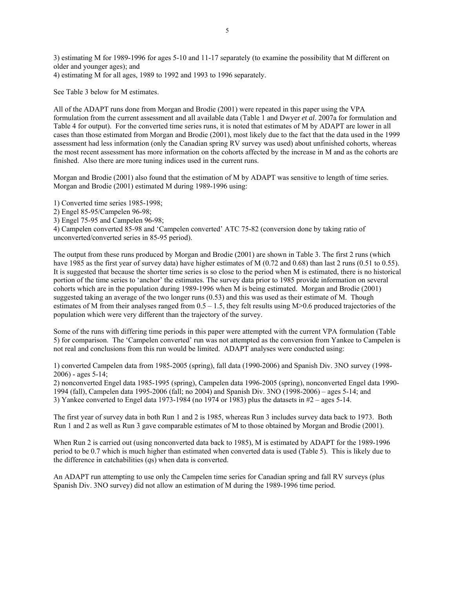3) estimating M for 1989-1996 for ages 5-10 and 11-17 separately (to examine the possibility that M different on older and younger ages); and

4) estimating M for all ages, 1989 to 1992 and 1993 to 1996 separately.

See Table 3 below for M estimates.

All of the ADAPT runs done from Morgan and Brodie (2001) were repeated in this paper using the VPA formulation from the current assessment and all available data (Table 1 and Dwyer *et al*. 2007a for formulation and Table 4 for output). For the converted time series runs, it is noted that estimates of M by ADAPT are lower in all cases than those estimated from Morgan and Brodie (2001), most likely due to the fact that the data used in the 1999 assessment had less information (only the Canadian spring RV survey was used) about unfinished cohorts, whereas the most recent assessment has more information on the cohorts affected by the increase in M and as the cohorts are finished. Also there are more tuning indices used in the current runs.

Morgan and Brodie (2001) also found that the estimation of M by ADAPT was sensitive to length of time series. Morgan and Brodie (2001) estimated M during 1989-1996 using:

1) Converted time series 1985-1998;

2) Engel 85-95/Campelen 96-98;

3) Engel 75-95 and Campelen 96-98;

4) Campelen converted 85-98 and 'Campelen converted' ATC 75-82 (conversion done by taking ratio of unconverted/converted series in 85-95 period).

The output from these runs produced by Morgan and Brodie (2001) are shown in Table 3. The first 2 runs (which have 1985 as the first year of survey data) have higher estimates of M (0.72 and 0.68) than last 2 runs (0.51 to 0.55). It is suggested that because the shorter time series is so close to the period when M is estimated, there is no historical portion of the time series to 'anchor' the estimates. The survey data prior to 1985 provide information on several cohorts which are in the population during 1989-1996 when M is being estimated. Morgan and Brodie (2001) suggested taking an average of the two longer runs (0.53) and this was used as their estimate of M. Though estimates of M from their analyses ranged from  $0.5 - 1.5$ , they felt results using M $> 0.6$  produced trajectories of the population which were very different than the trajectory of the survey.

Some of the runs with differing time periods in this paper were attempted with the current VPA formulation (Table 5) for comparison. The 'Campelen converted' run was not attempted as the conversion from Yankee to Campelen is not real and conclusions from this run would be limited. ADAPT analyses were conducted using:

1) converted Campelen data from 1985-2005 (spring), fall data (1990-2006) and Spanish Div. 3NO survey (1998-  $2006$ ) - ages  $5-14$ ;

2) nonconverted Engel data 1985-1995 (spring), Campelen data 1996-2005 (spring), nonconverted Engel data 1990- 1994 (fall), Campelen data 1995-2006 (fall; no 2004) and Spanish Div. 3NO (1998-2006) – ages 5-14; and 3) Yankee converted to Engel data 1973-1984 (no 1974 or 1983) plus the datasets in  $#2$  – ages 5-14.

The first year of survey data in both Run 1 and 2 is 1985, whereas Run 3 includes survey data back to 1973. Both Run 1 and 2 as well as Run 3 gave comparable estimates of M to those obtained by Morgan and Brodie (2001).

When Run 2 is carried out (using nonconverted data back to 1985), M is estimated by ADAPT for the 1989-1996 period to be 0.7 which is much higher than estimated when converted data is used (Table 5). This is likely due to the difference in catchabilities (*q*s) when data is converted.

An ADAPT run attempting to use only the Campelen time series for Canadian spring and fall RV surveys (plus Spanish Div. 3NO survey) did not allow an estimation of M during the 1989-1996 time period.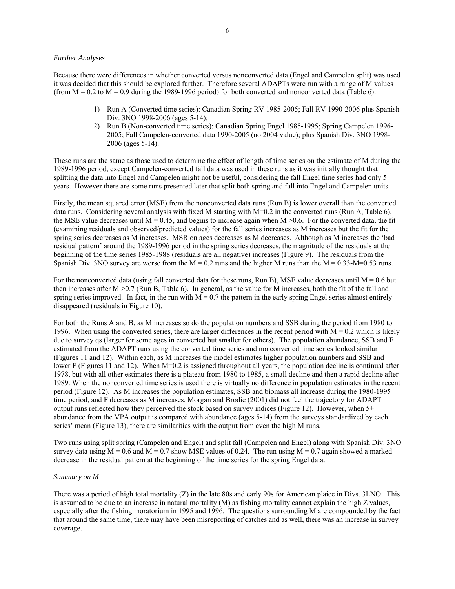### *Further Analyses*

Because there were differences in whether converted versus nonconverted data (Engel and Campelen split) was used it was decided that this should be explored further. Therefore several ADAPTs were run with a range of M values (from  $M = 0.2$  to  $M = 0.9$  during the 1989-1996 period) for both converted and nonconverted data (Table 6):

- 1) Run A (Converted time series): Canadian Spring RV 1985-2005; Fall RV 1990-2006 plus Spanish Div. 3NO 1998-2006 (ages 5-14);
- 2) Run B (Non-converted time series): Canadian Spring Engel 1985-1995; Spring Campelen 1996- 2005; Fall Campelen-converted data 1990-2005 (no 2004 value); plus Spanish Div. 3NO 1998- 2006 (ages 5-14).

These runs are the same as those used to determine the effect of length of time series on the estimate of M during the 1989-1996 period, except Campelen-converted fall data was used in these runs as it was initially thought that splitting the data into Engel and Campelen might not be useful, considering the fall Engel time series had only 5 years. However there are some runs presented later that split both spring and fall into Engel and Campelen units.

Firstly, the mean squared error (MSE) from the nonconverted data runs (Run B) is lower overall than the converted data runs. Considering several analysis with fixed M starting with  $M=0.2$  in the converted runs (Run A, Table 6), the MSE value decreases until  $M = 0.45$ , and begins to increase again when  $M > 0.6$ . For the converted data, the fit (examining residuals and observed/predicted values) for the fall series increases as M increases but the fit for the spring series decreases as M increases. MSR on ages decreases as M decreases. Although as M increases the 'bad residual pattern' around the 1989-1996 period in the spring series decreases, the magnitude of the residuals at the beginning of the time series 1985-1988 (residuals are all negative) increases (Figure 9). The residuals from the Spanish Div. 3NO survey are worse from the  $M = 0.2$  runs and the higher M runs than the  $M = 0.33$ -M=0.53 runs.

For the nonconverted data (using fall converted data for these runs, Run B), MSE value decreases until  $M = 0.6$  but then increases after M >0.7 (Run B, Table 6). In general, as the value for M increases, both the fit of the fall and spring series improved. In fact, in the run with  $M = 0.7$  the pattern in the early spring Engel series almost entirely disappeared (residuals in Figure 10).

For both the Runs A and B, as M increases so do the population numbers and SSB during the period from 1980 to 1996. When using the converted series, there are larger differences in the recent period with  $M = 0.2$  which is likely due to survey qs (larger for some ages in converted but smaller for others). The population abundance, SSB and F estimated from the ADAPT runs using the converted time series and nonconverted time series looked similar (Figures 11 and 12). Within each, as M increases the model estimates higher population numbers and SSB and lower F (Figures 11 and 12). When M=0.2 is assigned throughout all years, the population decline is continual after 1978, but with all other estimates there is a plateau from 1980 to 1985, a small decline and then a rapid decline after 1989. When the nonconverted time series is used there is virtually no difference in population estimates in the recent period (Figure 12). As M increases the population estimates, SSB and biomass all increase during the 1980-1995 time period, and F decreases as M increases. Morgan and Brodie (2001) did not feel the trajectory for ADAPT output runs reflected how they perceived the stock based on survey indices (Figure 12). However, when 5+ abundance from the VPA output is compared with abundance (ages 5-14) from the surveys standardized by each series' mean (Figure 13), there are similarities with the output from even the high M runs.

Two runs using split spring (Campelen and Engel) and split fall (Campelen and Engel) along with Spanish Div. 3NO survey data using  $M = 0.6$  and  $M = 0.7$  show MSE values of 0.24. The run using  $M = 0.7$  again showed a marked decrease in the residual pattern at the beginning of the time series for the spring Engel data.

#### *Summary on M*

There was a period of high total mortality (Z) in the late 80s and early 90s for American plaice in Divs. 3LNO. This is assumed to be due to an increase in natural mortality (M) as fishing mortality cannot explain the high Z values, especially after the fishing moratorium in 1995 and 1996. The questions surrounding M are compounded by the fact that around the same time, there may have been misreporting of catches and as well, there was an increase in survey coverage.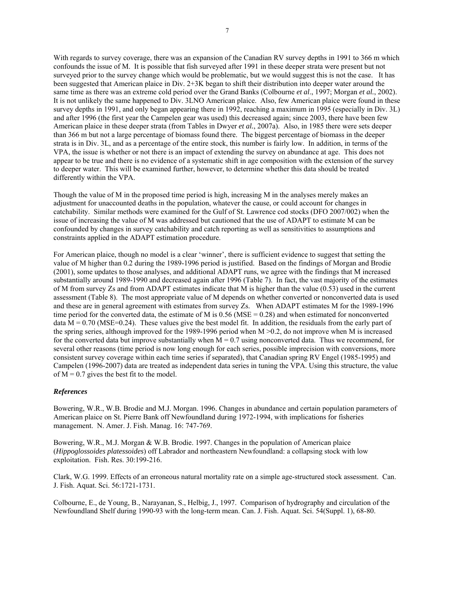With regards to survey coverage, there was an expansion of the Canadian RV survey depths in 1991 to 366 m which confounds the issue of M. It is possible that fish surveyed after 1991 in these deeper strata were present but not surveyed prior to the survey change which would be problematic, but we would suggest this is not the case. It has been suggested that American plaice in Div. 2+3K began to shift their distribution into deeper water around the same time as there was an extreme cold period over the Grand Banks (Colbourne *et al*., 1997; Morgan *et al.*, 2002). It is not unlikely the same happened to Div. 3LNO American plaice. Also, few American plaice were found in these survey depths in 1991, and only began appearing there in 1992, reaching a maximum in 1995 (especially in Div. 3L) and after 1996 (the first year the Campelen gear was used) this decreased again; since 2003, there have been few American plaice in these deeper strata (from Tables in Dwyer *et al.*, 2007a). Also, in 1985 there were sets deeper than 366 m but not a large percentage of biomass found there. The biggest percentage of biomass in the deeper strata is in Div. 3L, and as a percentage of the entire stock, this number is fairly low. In addition, in terms of the VPA, the issue is whether or not there is an impact of extending the survey on abundance at age. This does not appear to be true and there is no evidence of a systematic shift in age composition with the extension of the survey to deeper water. This will be examined further, however, to determine whether this data should be treated differently within the VPA.

Though the value of M in the proposed time period is high, increasing M in the analyses merely makes an adjustment for unaccounted deaths in the population, whatever the cause, or could account for changes in catchability. Similar methods were examined for the Gulf of St. Lawrence cod stocks (DFO 2007/002) when the issue of increasing the value of M was addressed but cautioned that the use of ADAPT to estimate M can be confounded by changes in survey catchability and catch reporting as well as sensitivities to assumptions and constraints applied in the ADAPT estimation procedure.

For American plaice, though no model is a clear 'winner', there is sufficient evidence to suggest that setting the value of M higher than 0.2 during the 1989-1996 period is justified. Based on the findings of Morgan and Brodie (2001), some updates to those analyses, and additional ADAPT runs, we agree with the findings that M increased substantially around 1989-1990 and decreased again after 1996 (Table 7). In fact, the vast majority of the estimates of M from survey Zs and from ADAPT estimates indicate that M is higher than the value (0.53) used in the current assessment (Table 8). The most appropriate value of M depends on whether converted or nonconverted data is used and these are in general agreement with estimates from survey Zs. When ADAPT estimates M for the 1989-1996 time period for the converted data, the estimate of M is 0.56 (MSE = 0.28) and when estimated for nonconverted data  $M = 0.70$  (MSE=0.24). These values give the best model fit. In addition, the residuals from the early part of the spring series, although improved for the 1989-1996 period when M >0.2, do not improve when M is increased for the converted data but improve substantially when  $M = 0.7$  using nonconverted data. Thus we recommend, for several other reasons (time period is now long enough for each series, possible imprecision with conversions, more consistent survey coverage within each time series if separated), that Canadian spring RV Engel (1985-1995) and Campelen (1996-2007) data are treated as independent data series in tuning the VPA. Using this structure, the value of  $M = 0.7$  gives the best fit to the model.

# *References*

Bowering, W.R., W.B. Brodie and M.J. Morgan. 1996. Changes in abundance and certain population parameters of American plaice on St. Pierre Bank off Newfoundland during 1972-1994, with implications for fisheries management. N. Amer. J. Fish. Manag. 16: 747-769.

Bowering, W.R., M.J. Morgan & W.B. Brodie. 1997. Changes in the population of American plaice (*Hippoglossoides platessoides*) off Labrador and northeastern Newfoundland: a collapsing stock with low exploitation. Fish. Res. 30:199-216.

Clark, W.G. 1999. Effects of an erroneous natural mortality rate on a simple age-structured stock assessment. Can. J. Fish. Aquat. Sci. 56:1721-1731.

Colbourne, E., de Young, B., Narayanan, S., Helbig, J., 1997. Comparison of hydrography and circulation of the Newfoundland Shelf during 1990-93 with the long-term mean. Can. J. Fish. Aquat. Sci. 54(Suppl. 1), 68-80.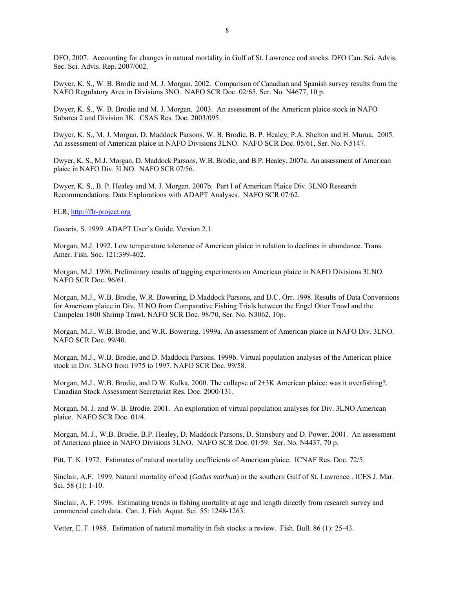DFO, 2007. Accounting for changes in natural mortality in Gulf of St. Lawrence cod stocks. DFO Can. Sci. Advis. Sec. Sci. Advis. Rep. 2007/002.

Dwyer, K. S., W. B. Brodie and M. J. Morgan. 2002. Comparison of Canadian and Spanish survey results from the NAFO Regulatory Area in Divisions 3NO. NAFO SCR Doc. 02/65, Ser. No. N4677, 10 p.

Dwyer, K. S., W. B. Brodie and M. J. Morgan. 2003. An assessment of the American plaice stock in NAFO Subarea 2 and Division 3K. CSAS Res. Doc. 2003/095.

Dwyer, K. S., M. J. Morgan, D. Maddock Parsons, W. B. Brodie, B. P. Healey, P.A. Shelton and H. Murua. 2005. An assessment of American plaice in NAFO Divisions 3LNO. NAFO SCR Doc. 05/61, Ser. No. N5147.

Dwyer, K. S., M.J. Morgan, D. Maddock Parsons, W.B. Brodie, and B.P. Healey. 2007a. An assessment of American plaice in NAFO Div. 3LNO. NAFO SCR 07/56.

Dwyer, K. S., B. P. Healey and M. J. Morgan. 2007b. Part I of American Plaice Div. 3LNO Research Recommendations: Data Explorations with ADAPT Analyses. NAFO SCR 07/62.

FLR; http://flr-project.org

Gavaris, S. 1999. ADAPT User's Guide. Version 2.1.

Morgan, M.J. 1992. Low temperature tolerance of American plaice in relation to declines in abundance. Trans. Amer. Fish. Soc. 121:399-402.

Morgan, M.J. 1996. Preliminary results of tagging experiments on American plaice in NAFO Divisions 3LNO. NAFO SCR Doc. 96/61.

Morgan, M.J., W.B. Brodie, W.R. Bowering, D.Maddock Parsons, and D.C. Orr. 1998. Results of Data Conversions for American plaice in Div. 3LNO from Comparative Fishing Trials between the Engel Otter Trawl and the Campelen 1800 Shrimp Trawl. NAFO SCR Doc. 98/70, Ser. No. N3062, 10p.

Morgan, M.J., W.B. Brodie, and W.R. Bowering. 1999a. An assessment of American plaice in NAFO Div. 3LNO. NAFO SCR Doc. 99/40.

Morgan, M.J., W.B. Brodie, and D. Maddock Parsons. 1999b. Virtual population analyses of the American plaice stock in Div. 3LNO from 1975 to 1997. NAFO SCR Doc. 99/58.

Morgan, M.J., W.B. Brodie, and D.W. Kulka. 2000. The collapse of 2+3K American plaice: was it overfishing?. Canadian Stock Assessment Secretariat Res. Doc. 2000/131.

Morgan, M. J. and W. B. Brodie. 2001. An exploration of virtual population analyses for Div. 3LNO American plaice. NAFO SCR Doc. 01/4.

Morgan, M. J., W.B. Brodie, B.P. Healey, D. Maddock Parsons, D. Stansbury and D. Power. 2001. An assessment of American plaice in NAFO Divisions 3LNO. NAFO SCR Doc. 01/59. Ser. No. N4437, 70 p.

Pitt, T. K. 1972. Estimates of natural mortality coefficients of American plaice. ICNAF Res. Doc. 72/5.

Sinclair, A.F. 1999. Natural mortality of cod (*Gadus morhua*) in the southern Gulf of St. Lawrence . ICES J. Mar. Sci. 58 (1): 1-10.

Sinclair, A. F. 1998. Estimating trends in fishing mortality at age and length directly from research survey and commercial catch data. Can. J. Fish. Aquat. Sci. 55: 1248-1263.

Vetter, E. F. 1988. Estimation of natural mortality in fish stocks: a review. Fish. Bull. 86 (1): 25-43.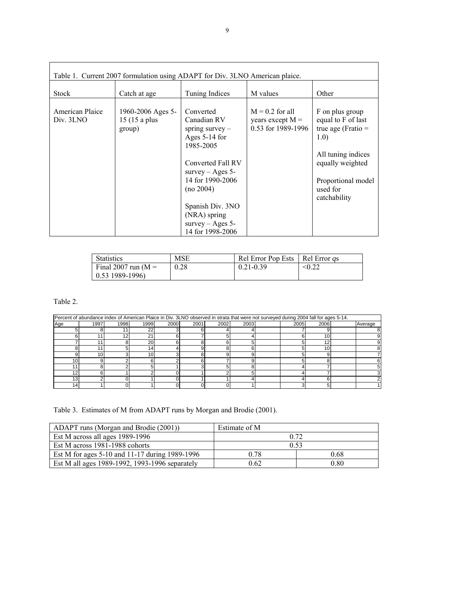| Table 1. Current 2007 formulation using ADAPT for Div. 3LNO American plaice. |                                              |                                                                                                                                                                                                                                       |                                                               |                                                                                                                                                                   |  |  |  |  |
|------------------------------------------------------------------------------|----------------------------------------------|---------------------------------------------------------------------------------------------------------------------------------------------------------------------------------------------------------------------------------------|---------------------------------------------------------------|-------------------------------------------------------------------------------------------------------------------------------------------------------------------|--|--|--|--|
| <b>Stock</b>                                                                 | Catch at age                                 | Tuning Indices                                                                                                                                                                                                                        | M values                                                      | Other                                                                                                                                                             |  |  |  |  |
| American Plaice<br>Div. 3LNO                                                 | 1960-2006 Ages 5-<br>15 (15 a plus<br>group) | Converted<br>Canadian RV<br>spring survey $-$<br>Ages 5-14 for<br>1985-2005<br>Converted Fall RV<br>survey $-$ Ages 5-<br>14 for 1990-2006<br>(no 2004)<br>Spanish Div. 3NO<br>(NRA) spring<br>survey $-$ Ages 5-<br>14 for 1998-2006 | $M = 0.2$ for all<br>years except $M =$<br>0.53 for 1989-1996 | F on plus group<br>equal to F of last<br>true age (Fratio $=$<br>1.0)<br>All tuning indices<br>equally weighted<br>Proportional model<br>used for<br>catchability |  |  |  |  |

| <b>Statistics</b>      | MSE  | Rel Error Pop Ests   Rel Error <i>as</i> |        |
|------------------------|------|------------------------------------------|--------|
| Final 2007 run ( $M =$ | 0.28 | $0.21 - 0.39$                            | < 0.22 |
| $0.53$ 1989-1996)      |      |                                          |        |

Table 2.

|                 | Percent of abundance index of American Plaice in Div. 3LNO observed in strata that were not surveyed during 2004 fall for ages 5-14. |      |                 |      |      |      |      |  |      |      |  |         |
|-----------------|--------------------------------------------------------------------------------------------------------------------------------------|------|-----------------|------|------|------|------|--|------|------|--|---------|
| Age             | 1997                                                                                                                                 | 1998 | 1999            | 2000 | 2001 | 2002 | 2003 |  | 2005 | 2006 |  | Average |
|                 |                                                                                                                                      |      | 22              |      |      |      |      |  |      |      |  |         |
|                 |                                                                                                                                      | 12   | 21              |      |      |      |      |  |      | 10   |  |         |
|                 |                                                                                                                                      |      | 20              |      |      |      |      |  |      | 12   |  |         |
|                 |                                                                                                                                      |      | 14 <sub>1</sub> |      |      |      |      |  |      |      |  |         |
|                 |                                                                                                                                      |      | 10              |      |      |      |      |  |      |      |  |         |
| 10.             |                                                                                                                                      |      |                 |      |      |      |      |  |      |      |  |         |
|                 |                                                                                                                                      |      |                 |      |      |      |      |  |      |      |  |         |
| 12              |                                                                                                                                      |      |                 |      |      |      |      |  |      |      |  |         |
| 13 <sub>1</sub> |                                                                                                                                      |      |                 |      |      |      |      |  |      |      |  |         |
| 14 <sub>1</sub> |                                                                                                                                      |      |                 |      |      |      |      |  |      |      |  |         |

Table 3. Estimates of M from ADAPT runs by Morgan and Brodie (2001).

| ADAPT runs (Morgan and Brodie (2001))          | Estimate of M |      |
|------------------------------------------------|---------------|------|
| Est M across all ages 1989-1996                | 0.72          |      |
| Est M across 1981-1988 cohorts                 |               | 0.53 |
| Est M for ages 5-10 and 11-17 during 1989-1996 | 0.78          | 0.68 |
| Est M all ages 1989-1992, 1993-1996 separately | 0.62          | 0.80 |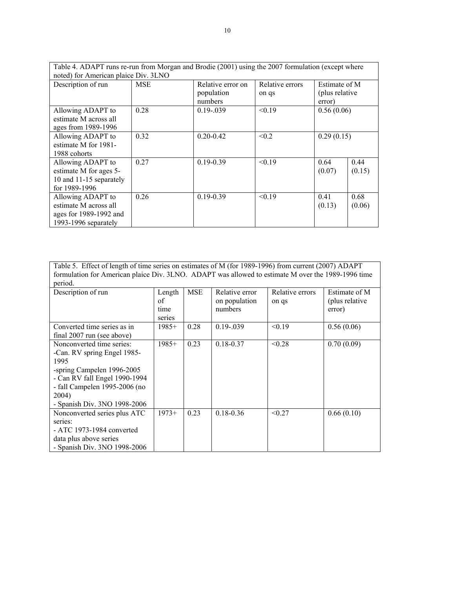| Table 4. ADAPT runs re-run from Morgan and Brodie (2001) using the 2007 formulation (except where |            |                                            |                          |                                            |                |
|---------------------------------------------------------------------------------------------------|------------|--------------------------------------------|--------------------------|--------------------------------------------|----------------|
| noted) for American plaice Div. 3LNO                                                              |            |                                            |                          |                                            |                |
| Description of run                                                                                | <b>MSE</b> | Relative error on<br>population<br>numbers | Relative errors<br>on qs | Estimate of M<br>(plus relative)<br>error) |                |
| Allowing ADAPT to<br>estimate M across all<br>ages from 1989-1996                                 | 0.28       | $0.19 - 0.039$                             | < 0.19                   | 0.56(0.06)                                 |                |
| Allowing ADAPT to<br>estimate M for 1981-<br>1988 cohorts                                         | 0.32       | $0.20 - 0.42$                              | < 0.2                    | 0.29(0.15)                                 |                |
| Allowing ADAPT to<br>estimate M for ages 5-<br>10 and 11-15 separately<br>for 1989-1996           | 0.27       | $0.19 - 0.39$                              | < 0.19                   | 0.64<br>(0.07)                             | 0.44<br>(0.15) |
| Allowing ADAPT to<br>estimate M across all<br>ages for 1989-1992 and<br>1993-1996 separately      | 0.26       | $0.19 - 0.39$                              | < 0.19                   | 0.41<br>(0.13)                             | 0.68<br>(0.06) |

Table 5. Effect of length of time series on estimates of M (for 1989-1996) from current (2007) ADAPT formulation for American plaice Div. 3LNO. ADAPT was allowed to estimate M over the 1989-1996 time period.

| Description of run                                                                                                                                                                                        | Length<br>оf<br>time<br>series | <b>MSE</b> | Relative error<br>on population<br>numbers | Relative errors<br>on qs | Estimate of M<br>(plus relative)<br>error) |
|-----------------------------------------------------------------------------------------------------------------------------------------------------------------------------------------------------------|--------------------------------|------------|--------------------------------------------|--------------------------|--------------------------------------------|
| Converted time series as in<br>final 2007 run (see above)                                                                                                                                                 | $1985+$                        | 0.28       | $0.19 - 0.039$                             | < 0.19                   | 0.56(0.06)                                 |
| Nonconverted time series:<br>-Can. RV spring Engel 1985-<br>1995<br>-spring Campelen 1996-2005<br>- Can RV fall Engel 1990-1994<br>- fall Campelen 1995-2006 (no<br>2004)<br>- Spanish Div. 3NO 1998-2006 | $1985+$                        | 0.23       | $0.18 - 0.37$                              | < 0.28                   | 0.70(0.09)                                 |
| Nonconverted series plus ATC<br>series:<br>$-$ ATC 1973-1984 converted<br>data plus above series<br>- Spanish Div. 3NO 1998-2006                                                                          | $1973+$                        | 0.23       | $0.18 - 0.36$                              | < 0.27                   | 0.66(0.10)                                 |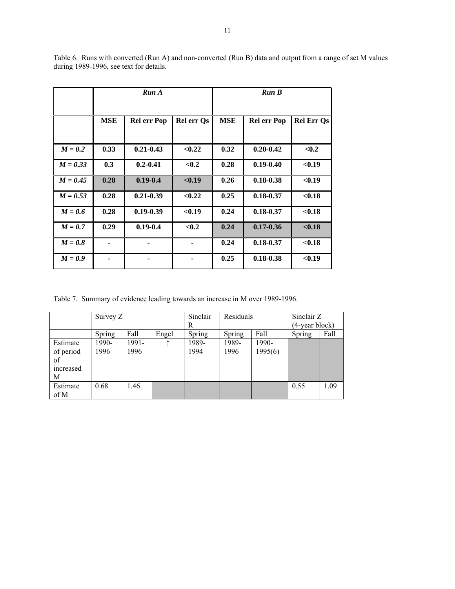|            |                | Run A              |            |            | Run B              |                   |
|------------|----------------|--------------------|------------|------------|--------------------|-------------------|
|            | <b>MSE</b>     | <b>Rel err Pop</b> | Rel err Qs | <b>MSE</b> | <b>Rel err Pop</b> | <b>Rel Err Qs</b> |
| $M = 0.2$  | 0.33           | $0.21 - 0.43$      | < 0.22     | 0.32       | $0.20 - 0.42$      | < 0.2             |
| $M = 0.33$ | 0.3            | $0.2 - 0.41$       | < 0.2      | 0.28       | $0.19 - 0.40$      | < 0.19            |
| $M = 0.45$ | 0.28           | $0.19 - 0.4$       | < 0.19     | 0.26       | $0.18 - 0.38$      | < 0.19            |
| $M = 0.53$ | 0.28           | $0.21 - 0.39$      | < 0.22     | 0.25       | $0.18 - 0.37$      | < 0.18            |
| $M = 0.6$  | 0.28           | $0.19 - 0.39$      | < 0.19     | 0.24       | $0.18 - 0.37$      | < 0.18            |
| $M = 0.7$  | 0.29           | $0.19 - 0.4$       | < 0.2      | 0.24       | $0.17 - 0.36$      | < 0.18            |
| $M = 0.8$  | $\blacksquare$ |                    |            | 0.24       | $0.18 - 0.37$      | < 0.18            |
| $M = 0.9$  |                |                    |            | 0.25       | $0.18 - 0.38$      | < 0.19            |

Table 6. Runs with converted (Run A) and non-converted (Run B) data and output from a range of set M values during 1989-1996, see text for details.

Table 7. Summary of evidence leading towards an increase in M over 1989-1996.

|                                               | Survey Z      |               |       | Sinclair<br>R | Residuals     |                  | Sinclair Z<br>(4-year block) |      |
|-----------------------------------------------|---------------|---------------|-------|---------------|---------------|------------------|------------------------------|------|
|                                               | Spring        | Fall          | Engel | Spring        | Spring        | Fall             | Spring                       | Fall |
| Estimate<br>of period<br>of<br>increased<br>М | 1990-<br>1996 | 1991-<br>1996 |       | 1989-<br>1994 | 1989-<br>1996 | 1990-<br>1995(6) |                              |      |
| Estimate<br>of M                              | 0.68          | 1.46          |       |               |               |                  | 0.55                         | 1.09 |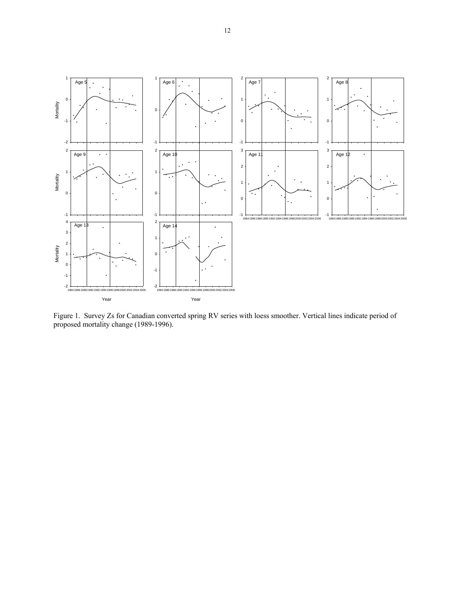

Figure 1. Survey Zs for Canadian converted spring RV series with loess smoother. Vertical lines indicate period of proposed mortality change (1989-1996).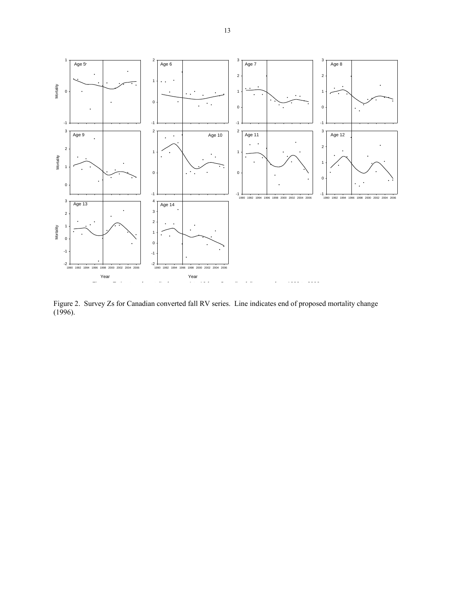

Figure 2. Survey Zs for Canadian converted fall RV series. Line indicates end of proposed mortality change (1996).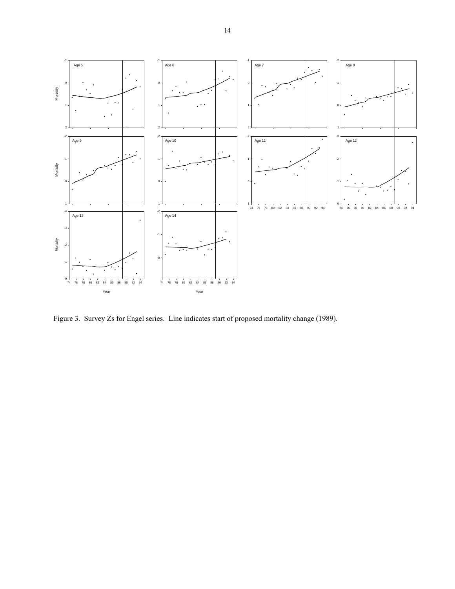

Figure 3. Survey Zs for Engel series. Line indicates start of proposed mortality change (1989).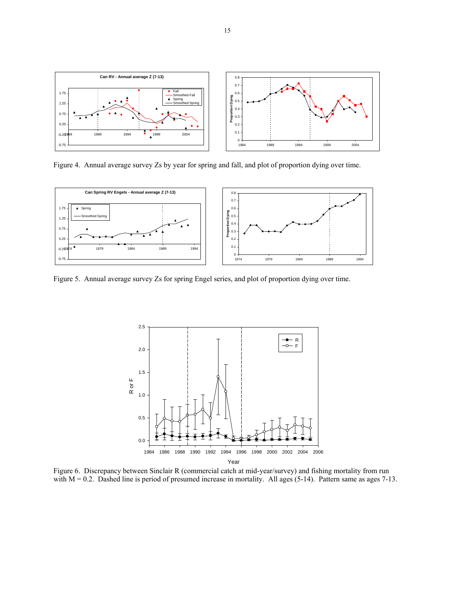

Figure 4. Annual average survey Zs by year for spring and fall, and plot of proportion dying over time.



Figure 5. Annual average survey Zs for spring Engel series, and plot of proportion dying over time.



Figure 6. Discrepancy between Sinclair R (commercial catch at mid-year/survey) and fishing mortality from run with  $M = 0.2$ . Dashed line is period of presumed increase in mortality. All ages (5-14). Pattern same as ages 7-13.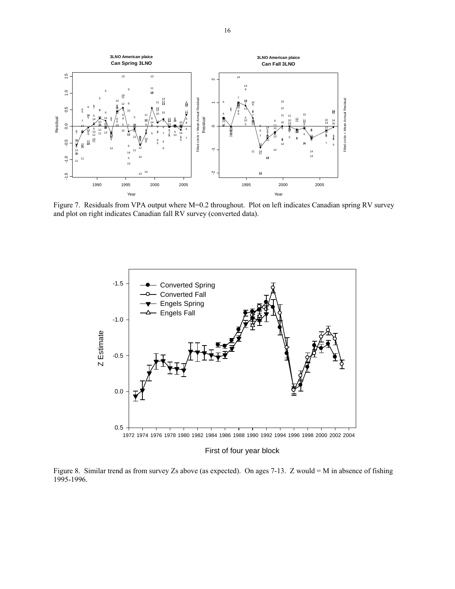

Figure 7. Residuals from VPA output where M=0.2 throughout. Plot on left indicates Canadian spring RV survey and plot on right indicates Canadian fall RV survey (converted data).



First of four year block

Figure 8. Similar trend as from survey Zs above (as expected). On ages 7-13. Z would = M in absence of fishing 1995-1996.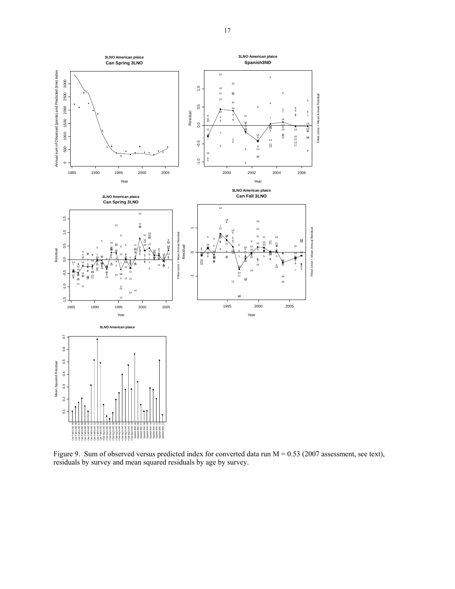

Figure 9. Sum of observed versus predicted index for converted data run M = 0.53 (2007 assessment, see text), residuals by survey and mean squared residuals by age by survey.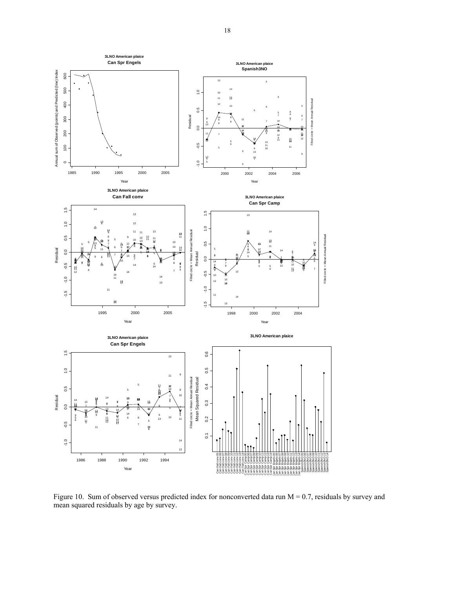

Figure 10. Sum of observed versus predicted index for nonconverted data run  $M = 0.7$ , residuals by survey and mean squared residuals by age by survey.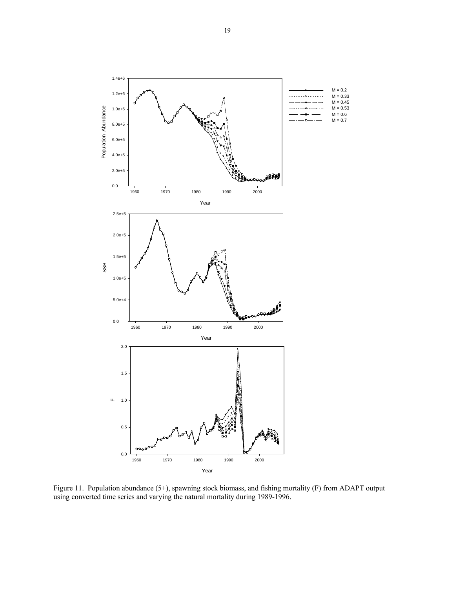

Figure 11. Population abundance (5+), spawning stock biomass, and fishing mortality (F) from ADAPT output using converted time series and varying the natural mortality during 1989-1996.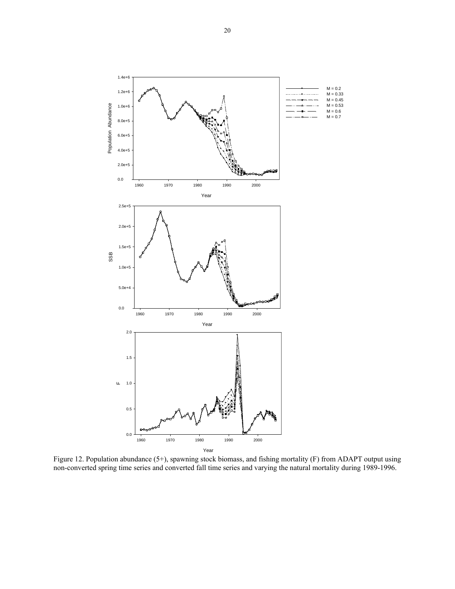

Figure 12. Population abundance (5+), spawning stock biomass, and fishing mortality (F) from ADAPT output using non-converted spring time series and converted fall time series and varying the natural mortality during 1989-1996.